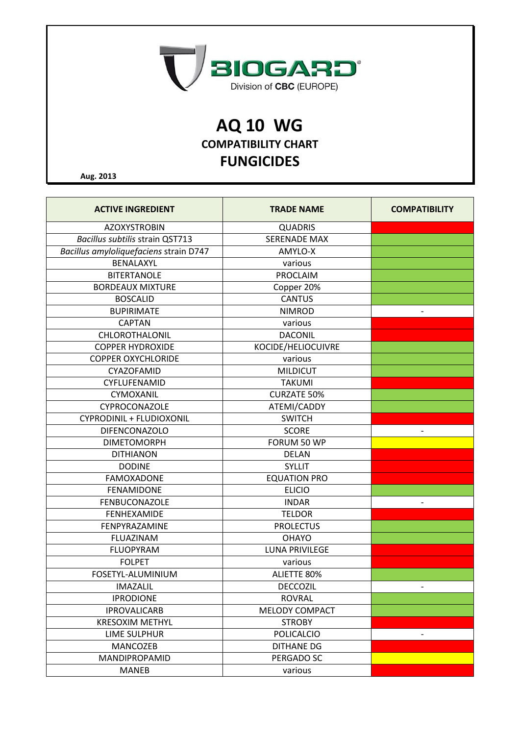

## **AQ 10 WG COMPATIBILITY CHART FUNGICIDES**

**Aug. 2013**

| <b>ACTIVE INGREDIENT</b>               | <b>TRADE NAME</b>     | <b>COMPATIBILITY</b> |
|----------------------------------------|-----------------------|----------------------|
| <b>AZOXYSTROBIN</b>                    | <b>QUADRIS</b>        |                      |
| <b>Bacillus subtilis strain QST713</b> | <b>SERENADE MAX</b>   |                      |
| Bacillus amyloliquefaciens strain D747 | AMYLO-X               |                      |
| BENALAXYL                              | various               |                      |
| <b>BITERTANOLE</b>                     | PROCLAIM              |                      |
| <b>BORDEAUX MIXTURE</b>                | Copper 20%            |                      |
| <b>BOSCALID</b>                        | <b>CANTUS</b>         |                      |
| <b>BUPIRIMATE</b>                      | <b>NIMROD</b>         | $\qquad \qquad -$    |
| <b>CAPTAN</b>                          | various               |                      |
| CHLOROTHALONIL                         | <b>DACONIL</b>        |                      |
| <b>COPPER HYDROXIDE</b>                | KOCIDE/HELIOCUIVRE    |                      |
| <b>COPPER OXYCHLORIDE</b>              | various               |                      |
| CYAZOFAMID                             | <b>MILDICUT</b>       |                      |
| CYFLUFENAMID                           | <b>TAKUMI</b>         |                      |
| CYMOXANIL                              | <b>CURZATE 50%</b>    |                      |
| CYPROCONAZOLE                          | ATEMI/CADDY           |                      |
| <b>CYPRODINIL + FLUDIOXONIL</b>        | <b>SWITCH</b>         |                      |
| <b>DIFENCONAZOLO</b>                   | <b>SCORE</b>          |                      |
| <b>DIMETOMORPH</b>                     | FORUM 50 WP           |                      |
| <b>DITHIANON</b>                       | <b>DELAN</b>          |                      |
| <b>DODINE</b>                          | <b>SYLLIT</b>         |                      |
| <b>FAMOXADONE</b>                      | <b>EQUATION PRO</b>   |                      |
| <b>FENAMIDONE</b>                      | <b>ELICIO</b>         |                      |
| <b>FENBUCONAZOLE</b>                   | <b>INDAR</b>          |                      |
| <b>FENHEXAMIDE</b>                     | <b>TELDOR</b>         |                      |
| FENPYRAZAMINE                          | <b>PROLECTUS</b>      |                      |
| <b>FLUAZINAM</b>                       | <b>OHAYO</b>          |                      |
| <b>FLUOPYRAM</b>                       | <b>LUNA PRIVILEGE</b> |                      |
| <b>FOLPET</b>                          | various               |                      |
| FOSETYL-ALUMINIUM                      | <b>ALIETTE 80%</b>    |                      |
| <b>IMAZALIL</b>                        | DECCOZIL              |                      |
| <b>IPRODIONE</b>                       | <b>ROVRAL</b>         |                      |
| <b>IPROVALICARB</b>                    | <b>MELODY COMPACT</b> |                      |
| <b>KRESOXIM METHYL</b>                 | <b>STROBY</b>         |                      |
| <b>LIME SULPHUR</b>                    | <b>POLICALCIO</b>     |                      |
| MANCOZEB                               | <b>DITHANE DG</b>     |                      |
| MANDIPROPAMID                          | PERGADO SC            |                      |
| <b>MANEB</b>                           | various               |                      |